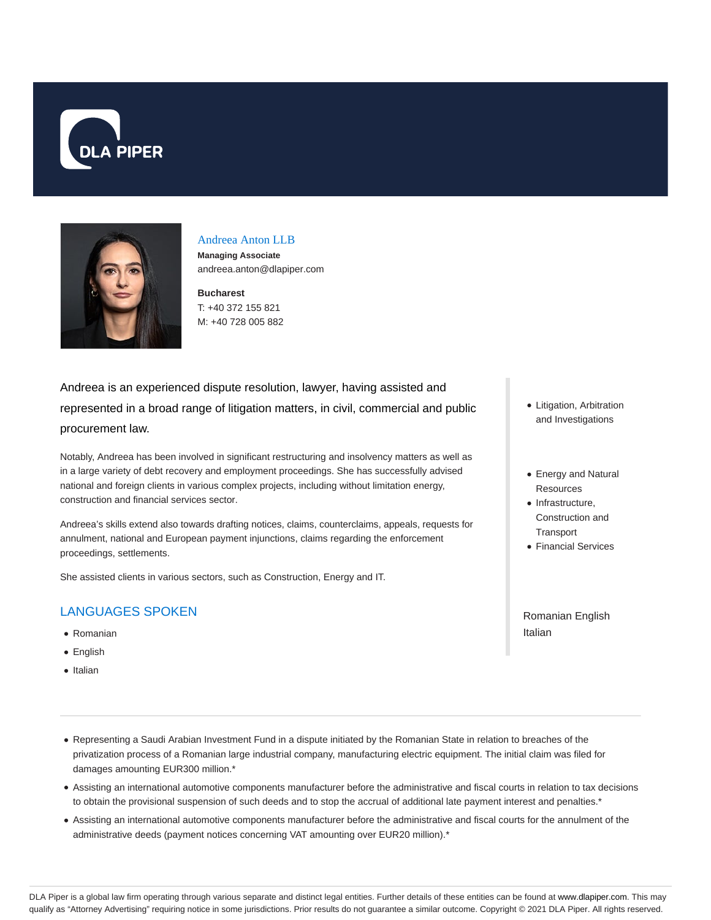



#### Andreea Anton LLB

**Managing Associate** andreea.anton@dlapiper.com

**Bucharest** T: +40 372 155 821 M: +40 728 005 882

Andreea is an experienced dispute resolution, lawyer, having assisted and represented in a broad range of litigation matters, in civil, commercial and public procurement law.

Notably, Andreea has been involved in significant restructuring and insolvency matters as well as in a large variety of debt recovery and employment proceedings. She has successfully advised national and foreign clients in various complex projects, including without limitation energy, construction and financial services sector.

Andreea's skills extend also towards drafting notices, claims, counterclaims, appeals, requests for annulment, national and European payment injunctions, claims regarding the enforcement proceedings, settlements.

She assisted clients in various sectors, such as Construction, Energy and IT.

# LANGUAGES SPOKEN

- Romanian
- English
- Italian
- Litigation, Arbitration and Investigations
- Energy and Natural Resources
- Infrastructure, Construction and **Transport**
- Financial Services

Romanian English Italian

- Representing a Saudi Arabian Investment Fund in a dispute initiated by the Romanian State in relation to breaches of the privatization process of a Romanian large industrial company, manufacturing electric equipment. The initial claim was filed for damages amounting EUR300 million.\*
- Assisting an international automotive components manufacturer before the administrative and fiscal courts in relation to tax decisions to obtain the provisional suspension of such deeds and to stop the accrual of additional late payment interest and penalties.\*
- Assisting an international automotive components manufacturer before the administrative and fiscal courts for the annulment of the administrative deeds (payment notices concerning VAT amounting over EUR20 million).\*

DLA Piper is a global law firm operating through various separate and distinct legal entities. Further details of these entities can be found at www.dlapiper.com. This may qualify as "Attorney Advertising" requiring notice in some jurisdictions. Prior results do not guarantee a similar outcome. Copyright © 2021 DLA Piper. All rights reserved.